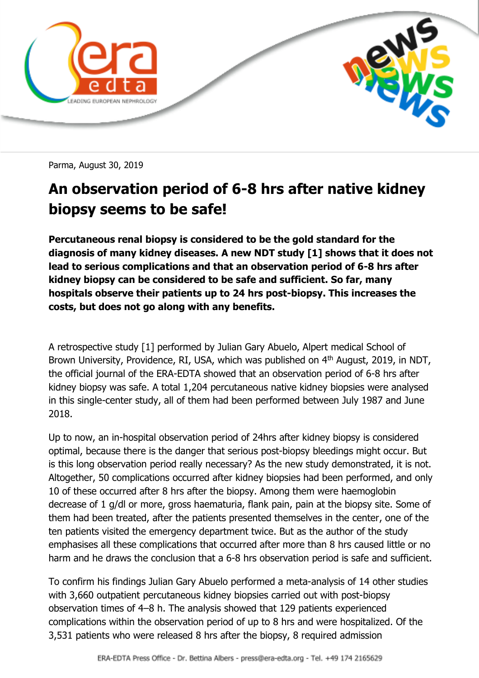

Parma, August 30, 2019

## **An observation period of 6-8 hrs after native kidney biopsy seems to be safe!**

**Percutaneous renal biopsy is considered to be the gold standard for the diagnosis of many kidney diseases. A new NDT study [1] shows that it does not lead to serious complications and that an observation period of 6-8 hrs after kidney biopsy can be considered to be safe and sufficient. So far, many hospitals observe their patients up to 24 hrs post-biopsy. This increases the costs, but does not go along with any benefits.**

A retrospective study [1] performed by Julian Gary Abuelo, Alpert medical School of Brown University, Providence, RI, USA, which was published on 4<sup>th</sup> August, 2019, in NDT, the official journal of the ERA-EDTA showed that an observation period of 6-8 hrs after kidney biopsy was safe. A total 1,204 percutaneous native kidney biopsies were analysed in this single-center study, all of them had been performed between July 1987 and June 2018.

Up to now, an in-hospital observation period of 24hrs after kidney biopsy is considered optimal, because there is the danger that serious post-biopsy bleedings might occur. But is this long observation period really necessary? As the new study demonstrated, it is not. Altogether, 50 complications occurred after kidney biopsies had been performed, and only 10 of these occurred after 8 hrs after the biopsy. Among them were haemoglobin decrease of 1 g/dl or more, gross haematuria, flank pain, pain at the biopsy site. Some of them had been treated, after the patients presented themselves in the center, one of the ten patients visited the emergency department twice. But as the author of the study emphasises all these complications that occurred after more than 8 hrs caused little or no harm and he draws the conclusion that a 6-8 hrs observation period is safe and sufficient.

To confirm his findings Julian Gary Abuelo performed a meta-analysis of 14 other studies with 3,660 outpatient percutaneous kidney biopsies carried out with post-biopsy observation times of 4–8 h. The analysis showed that 129 patients experienced complications within the observation period of up to 8 hrs and were hospitalized. Of the 3,531 patients who were released 8 hrs after the biopsy, 8 required admission